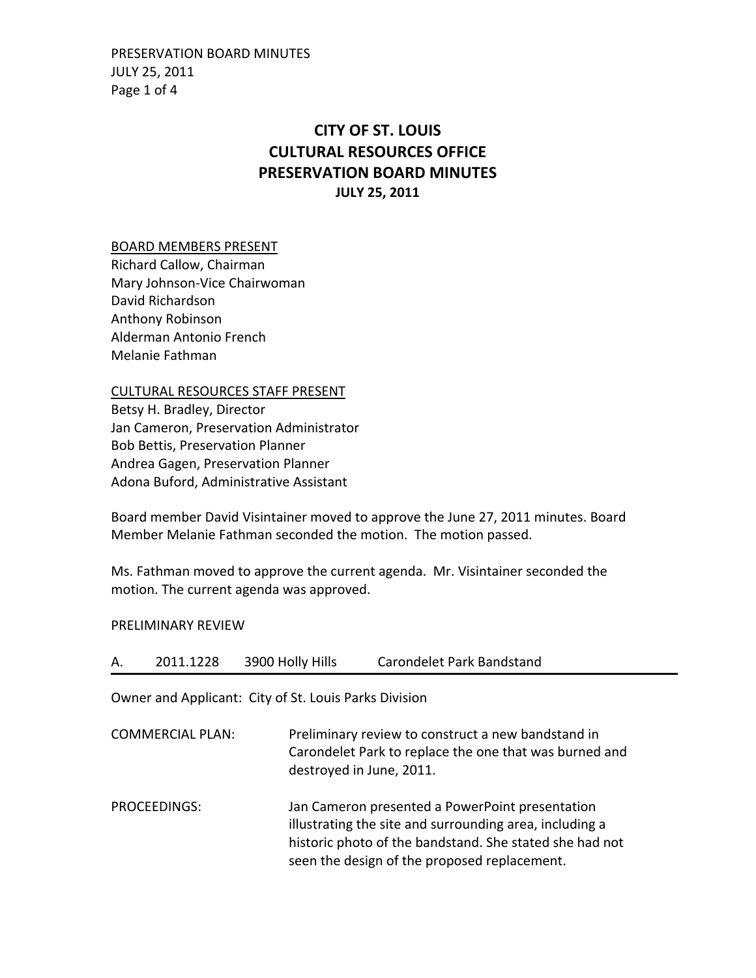PRESERVATION BOARD MINUTES JULY 25, 2011 Page 1 of 4

## **CITY OF ST. LOUIS CULTURAL RESOURCES OFFICE PRESERVATION BOARD MINUTES JULY 25, 2011**

## BOARD MEMBERS PRESENT

Richard Callow, Chairman Mary Johnson‐Vice Chairwoman David Richardson Anthony Robinson Alderman Antonio French Melanie Fathman

## CULTURAL RESOURCES STAFF PRESENT

Betsy H. Bradley, Director Jan Cameron, Preservation Administrator Bob Bettis, Preservation Planner Andrea Gagen, Preservation Planner Adona Buford, Administrative Assistant

Board member David Visintainer moved to approve the June 27, 2011 minutes. Board Member Melanie Fathman seconded the motion. The motion passed.

Ms. Fathman moved to approve the current agenda. Mr. Visintainer seconded the motion. The current agenda was approved.

## PRELIMINARY REVIEW

| А. | 2011.1228 | 3900 Holly Hills | Carondelet Park Bandstand |
|----|-----------|------------------|---------------------------|
|----|-----------|------------------|---------------------------|

Owner and Applicant: City of St. Louis Parks Division

COMMERCIAL PLAN: Preliminary review to construct a new bandstand in Carondelet Park to replace the one that was burned and destroyed in June, 2011.

PROCEEDINGS: Jan Cameron presented a PowerPoint presentation illustrating the site and surrounding area, including a historic photo of the bandstand. She stated she had not seen the design of the proposed replacement.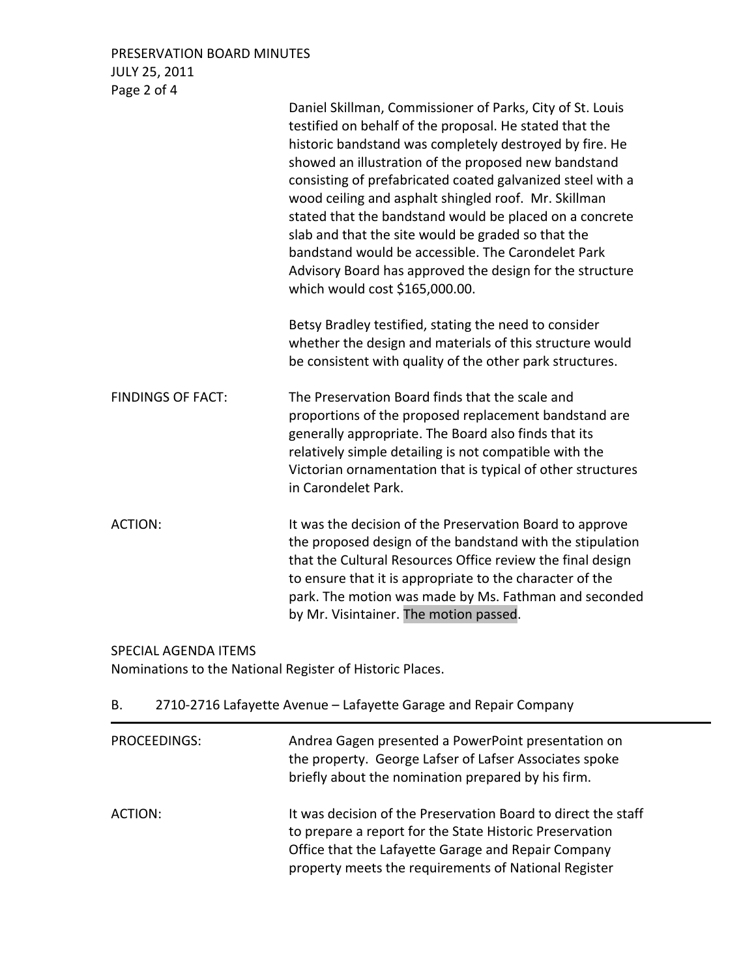PRESERVATION BOARD MINUTES JULY 25, 2011 Page 2 of 4

|                          | Daniel Skillman, Commissioner of Parks, City of St. Louis<br>testified on behalf of the proposal. He stated that the<br>historic bandstand was completely destroyed by fire. He<br>showed an illustration of the proposed new bandstand<br>consisting of prefabricated coated galvanized steel with a<br>wood ceiling and asphalt shingled roof. Mr. Skillman<br>stated that the bandstand would be placed on a concrete<br>slab and that the site would be graded so that the<br>bandstand would be accessible. The Carondelet Park<br>Advisory Board has approved the design for the structure<br>which would cost \$165,000.00. |
|--------------------------|------------------------------------------------------------------------------------------------------------------------------------------------------------------------------------------------------------------------------------------------------------------------------------------------------------------------------------------------------------------------------------------------------------------------------------------------------------------------------------------------------------------------------------------------------------------------------------------------------------------------------------|
|                          | Betsy Bradley testified, stating the need to consider<br>whether the design and materials of this structure would<br>be consistent with quality of the other park structures.                                                                                                                                                                                                                                                                                                                                                                                                                                                      |
| <b>FINDINGS OF FACT:</b> | The Preservation Board finds that the scale and<br>proportions of the proposed replacement bandstand are<br>generally appropriate. The Board also finds that its<br>relatively simple detailing is not compatible with the<br>Victorian ornamentation that is typical of other structures<br>in Carondelet Park.                                                                                                                                                                                                                                                                                                                   |
| <b>ACTION:</b>           | It was the decision of the Preservation Board to approve<br>the proposed design of the bandstand with the stipulation<br>that the Cultural Resources Office review the final design<br>to ensure that it is appropriate to the character of the<br>park. The motion was made by Ms. Fathman and seconded<br>by Mr. Visintainer. The motion passed.                                                                                                                                                                                                                                                                                 |

SPECIAL AGENDA ITEMS

Nominations to the National Register of Historic Places.

| В. | 2710-2716 Lafayette Avenue - Lafayette Garage and Repair Company |  |  |
|----|------------------------------------------------------------------|--|--|
|----|------------------------------------------------------------------|--|--|

| PROCEEDINGS: | Andrea Gagen presented a PowerPoint presentation on<br>the property. George Lafser of Lafser Associates spoke<br>briefly about the nomination prepared by his firm.                                                                     |
|--------------|-----------------------------------------------------------------------------------------------------------------------------------------------------------------------------------------------------------------------------------------|
| ACTION:      | It was decision of the Preservation Board to direct the staff<br>to prepare a report for the State Historic Preservation<br>Office that the Lafayette Garage and Repair Company<br>property meets the requirements of National Register |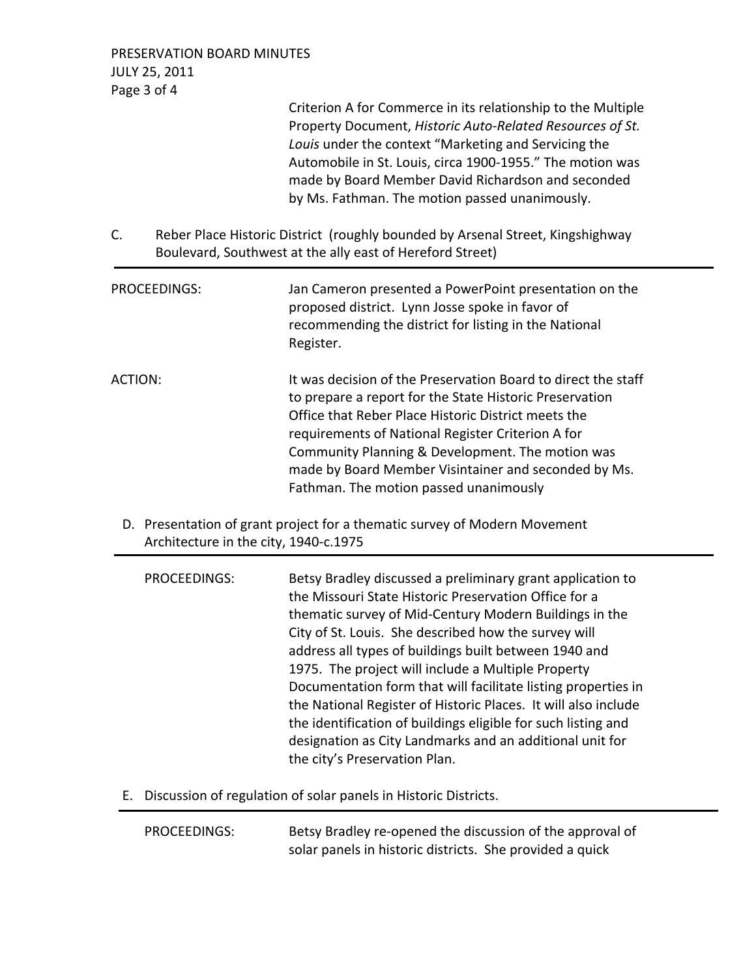PRESERVATION BOARD MINUTES JULY 25, 2011 Page 3 of 4

> Criterion A for Commerce in its relationship to the Multiple Property Document, *Historic Auto‐Related Resources of St. Louis* under the context "Marketing and Servicing the Automobile in St. Louis, circa 1900‐1955." The motion was made by Board Member David Richardson and seconded by Ms. Fathman. The motion passed unanimously.

C. Reber Place Historic District (roughly bounded by Arsenal Street, Kingshighway Boulevard, Southwest at the ally east of Hereford Street)

| PROCEEDINGS: | Jan Cameron presented a PowerPoint presentation on the<br>proposed district. Lynn Josse spoke in favor of<br>recommending the district for listing in the National<br>Register.                                                                                                                                                                                                            |
|--------------|--------------------------------------------------------------------------------------------------------------------------------------------------------------------------------------------------------------------------------------------------------------------------------------------------------------------------------------------------------------------------------------------|
| ACTION:      | It was decision of the Preservation Board to direct the staff<br>to prepare a report for the State Historic Preservation<br>Office that Reber Place Historic District meets the<br>requirements of National Register Criterion A for<br>Community Planning & Development. The motion was<br>made by Board Member Visintainer and seconded by Ms.<br>Fathman. The motion passed unanimously |

D. Presentation of grant project for a thematic survey of Modern Movement Architecture in the city, 1940‐c.1975

| PROCEEDINGS: | Betsy Bradley discussed a preliminary grant application to<br>the Missouri State Historic Preservation Office for a |
|--------------|---------------------------------------------------------------------------------------------------------------------|
|              | thematic survey of Mid-Century Modern Buildings in the                                                              |
|              | City of St. Louis. She described how the survey will                                                                |
|              | address all types of buildings built between 1940 and                                                               |
|              | 1975. The project will include a Multiple Property                                                                  |
|              | Documentation form that will facilitate listing properties in                                                       |
|              | the National Register of Historic Places. It will also include                                                      |
|              | the identification of buildings eligible for such listing and                                                       |
|              | designation as City Landmarks and an additional unit for                                                            |
|              | the city's Preservation Plan.                                                                                       |

E. Discussion of regulation of solar panels in Historic Districts.

PROCEEDINGS: Betsy Bradley re-opened the discussion of the approval of solar panels in historic districts. She provided a quick